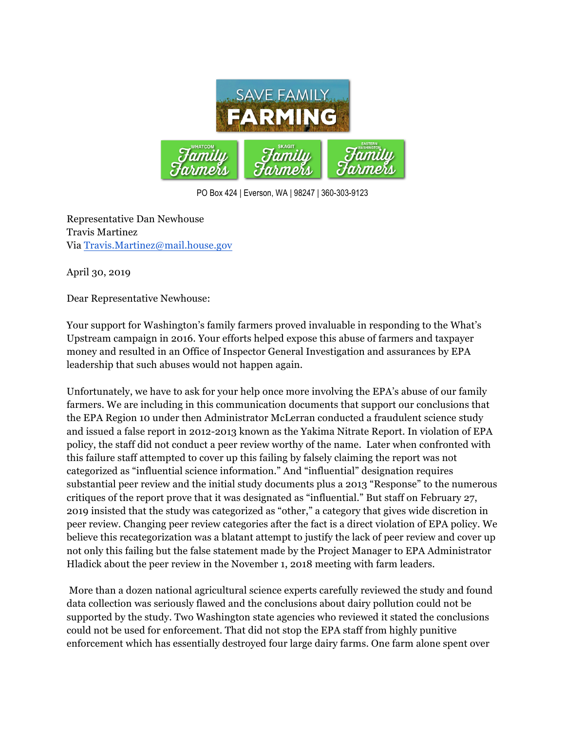

PO Box 424 | Everson, WA | 98247 | 360-303-9123

Representative Dan Newhouse Travis Martinez Via Travis.Martinez@mail.house.gov

April 30, 2019

Dear Representative Newhouse:

Your support for Washington's family farmers proved invaluable in responding to the What's Upstream campaign in 2016. Your efforts helped expose this abuse of farmers and taxpayer money and resulted in an Office of Inspector General Investigation and assurances by EPA leadership that such abuses would not happen again.

Unfortunately, we have to ask for your help once more involving the EPA's abuse of our family farmers. We are including in this communication documents that support our conclusions that the EPA Region 10 under then Administrator McLerran conducted a fraudulent science study and issued a false report in 2012-2013 known as the Yakima Nitrate Report. In violation of EPA policy, the staff did not conduct a peer review worthy of the name. Later when confronted with this failure staff attempted to cover up this failing by falsely claiming the report was not categorized as "influential science information." And "influential" designation requires substantial peer review and the initial study documents plus a 2013 "Response" to the numerous critiques of the report prove that it was designated as "influential." But staff on February 27, 2019 insisted that the study was categorized as "other," a category that gives wide discretion in peer review. Changing peer review categories after the fact is a direct violation of EPA policy. We believe this recategorization was a blatant attempt to justify the lack of peer review and cover up not only this failing but the false statement made by the Project Manager to EPA Administrator Hladick about the peer review in the November 1, 2018 meeting with farm leaders.

More than a dozen national agricultural science experts carefully reviewed the study and found data collection was seriously flawed and the conclusions about dairy pollution could not be supported by the study. Two Washington state agencies who reviewed it stated the conclusions could not be used for enforcement. That did not stop the EPA staff from highly punitive enforcement which has essentially destroyed four large dairy farms. One farm alone spent over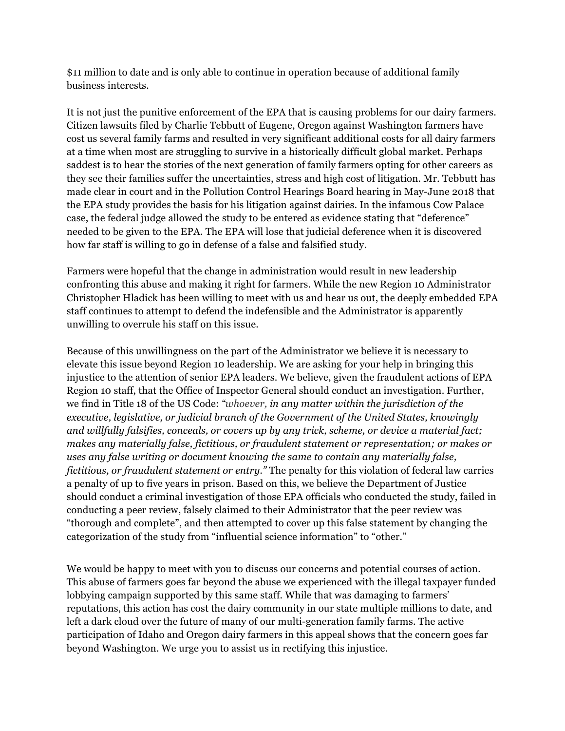\$11 million to date and is only able to continue in operation because of additional family business interests.

It is not just the punitive enforcement of the EPA that is causing problems for our dairy farmers. Citizen lawsuits filed by Charlie Tebbutt of Eugene, Oregon against Washington farmers have cost us several family farms and resulted in very significant additional costs for all dairy farmers at a time when most are struggling to survive in a historically difficult global market. Perhaps saddest is to hear the stories of the next generation of family farmers opting for other careers as they see their families suffer the uncertainties, stress and high cost of litigation. Mr. Tebbutt has made clear in court and in the Pollution Control Hearings Board hearing in May-June 2018 that the EPA study provides the basis for his litigation against dairies. In the infamous Cow Palace case, the federal judge allowed the study to be entered as evidence stating that "deference" needed to be given to the EPA. The EPA will lose that judicial deference when it is discovered how far staff is willing to go in defense of a false and falsified study.

Farmers were hopeful that the change in administration would result in new leadership confronting this abuse and making it right for farmers. While the new Region 10 Administrator Christopher Hladick has been willing to meet with us and hear us out, the deeply embedded EPA staff continues to attempt to defend the indefensible and the Administrator is apparently unwilling to overrule his staff on this issue.

Because of this unwillingness on the part of the Administrator we believe it is necessary to elevate this issue beyond Region 10 leadership. We are asking for your help in bringing this injustice to the attention of senior EPA leaders. We believe, given the fraudulent actions of EPA Region 10 staff, that the Office of Inspector General should conduct an investigation. Further, we find in Title 18 of the US Code: *"whoever, in any matter within the jurisdiction of the executive, legislative, or judicial branch of the Government of the United States, knowingly and willfully falsifies, conceals, or covers up by any trick, scheme, or device a material fact; makes any materially false, fictitious, or fraudulent statement or representation; or makes or uses any false writing or document knowing the same to contain any materially false, fictitious, or fraudulent statement or entry."* The penalty for this violation of federal law carries a penalty of up to five years in prison. Based on this, we believe the Department of Justice should conduct a criminal investigation of those EPA officials who conducted the study, failed in conducting a peer review, falsely claimed to their Administrator that the peer review was "thorough and complete", and then attempted to cover up this false statement by changing the categorization of the study from "influential science information" to "other."

We would be happy to meet with you to discuss our concerns and potential courses of action. This abuse of farmers goes far beyond the abuse we experienced with the illegal taxpayer funded lobbying campaign supported by this same staff. While that was damaging to farmers' reputations, this action has cost the dairy community in our state multiple millions to date, and left a dark cloud over the future of many of our multi-generation family farms. The active participation of Idaho and Oregon dairy farmers in this appeal shows that the concern goes far beyond Washington. We urge you to assist us in rectifying this injustice.